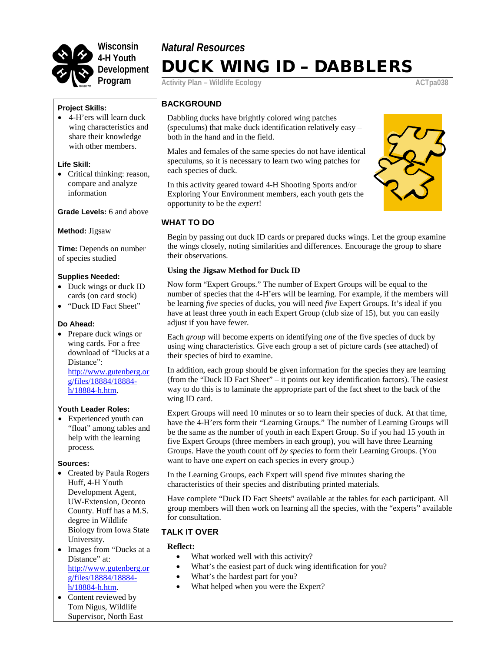

# *Natural Resources* DUCK WING ID – DABBLERS

**Activity Plan – Wildlife Ecology ACTpa038** 

#### **Project Skills:**

• 4-H'ers will learn duck wing characteristics and share their knowledge with other members.

#### **Life Skill:**

• Critical thinking: reason, compare and analyze information

#### **Grade Levels:** 6 and above

**Method:** Jigsaw

**Time:** Depends on number of species studied

#### **Supplies Needed:**

- Duck wings or duck ID cards (on card stock)
- "Duck ID Fact Sheet"

#### **Do Ahead:**

• Prepare duck wings or wing cards. For a free download of "Ducks at a Distance": [http://www.gutenberg.or](http://www.gutenberg.org/files/18884/18884-h/18884-h.htm)

[g/files/18884/18884](http://www.gutenberg.org/files/18884/18884-h/18884-h.htm) [h/18884-h.htm.](http://www.gutenberg.org/files/18884/18884-h/18884-h.htm)

#### **Youth Leader Roles:**

• Experienced youth can "float" among tables and help with the learning process.

#### **Sources:**

- Created by Paula Rogers Huff, 4-H Youth Development Agent, UW-Extension, Oconto County. Huff has a M.S. degree in Wildlife Biology from Iowa State University.
- Images from "Ducks at a Distance" at: [http://www.gutenberg.or](http://www.gutenberg.org/files/18884/18884-h/18884-h.htm) [g/files/18884/18884](http://www.gutenberg.org/files/18884/18884-h/18884-h.htm) [h/18884-h.htm.](http://www.gutenberg.org/files/18884/18884-h/18884-h.htm)
- Content reviewed by Tom Nigus, Wildlife Supervisor, North East

### **BACKGROUND**

Dabbling ducks have brightly colored wing patches (speculums) that make duck identification relatively easy – both in the hand and in the field.

Males and females of the same species do not have identical speculums, so it is necessary to learn two wing patches for each species of duck.

In this activity geared toward 4-H Shooting Sports and/or Exploring Your Environment members, each youth gets the opportunity to be the *expert*!

### **WHAT TO DO**

Begin by passing out duck ID cards or prepared ducks wings. Let the group examine the wings closely, noting similarities and differences. Encourage the group to share their observations.

#### **Using the Jigsaw Method for Duck ID**

Now form "Expert Groups." The number of Expert Groups will be equal to the number of species that the 4-H'ers will be learning. For example, if the members will be learning *five* species of ducks, you will need *five* Expert Groups. It's ideal if you have at least three youth in each Expert Group (club size of 15), but you can easily adjust if you have fewer.

Each *group* will become experts on identifying *one* of the five species of duck by using wing characteristics. Give each group a set of picture cards (see attached) of their species of bird to examine.

In addition, each group should be given information for the species they are learning (from the "Duck ID Fact Sheet" – it points out key identification factors). The easiest way to do this is to laminate the appropriate part of the fact sheet to the back of the wing ID card.

Expert Groups will need 10 minutes or so to learn their species of duck. At that time, have the 4-H'ers form their "Learning Groups." The number of Learning Groups will be the same as the number of youth in each Expert Group. So if you had 15 youth in five Expert Groups (three members in each group), you will have three Learning Groups. Have the youth count off *by species* to form their Learning Groups. (You want to have one *expert* on each species in every group.)

In the Learning Groups, each Expert will spend five minutes sharing the characteristics of their species and distributing printed materials.

Have complete "Duck ID Fact Sheets" available at the tables for each participant. All group members will then work on learning all the species, with the "experts" available for consultation.

### **TALK IT OVER**

#### **Reflect:**

- What worked well with this activity?
- What's the easiest part of duck wing identification for you?
- What's the hardest part for you?
- What helped when you were the Expert?

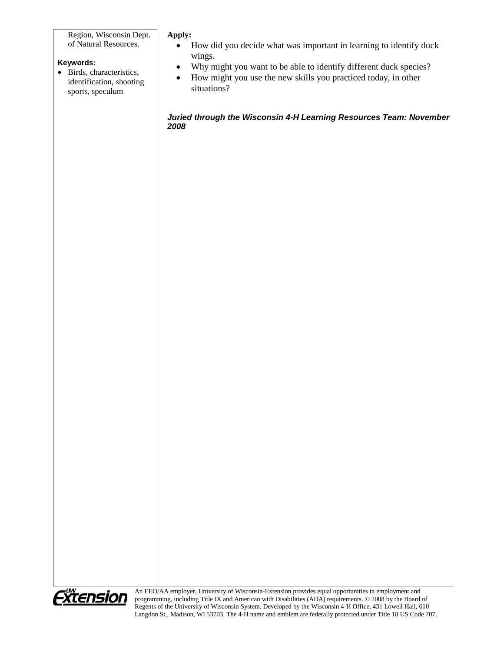Region, Wisconsin Dept. of Natural Resources.

### **Keywords:**

• Birds, characteristics, identification, shooting sports, speculum

#### **Apply:**

- How did you decide what was important in learning to identify duck wings.
- Why might you want to be able to identify different duck species?
- How might you use the new skills you practiced today, in other situations?

*Juried through the Wisconsin 4-H Learning Resources Team: November 2008*



An EEO/AA employer, University of Wisconsin-Extension provides equal opportunities in employment and programming, including Title IX and American with Disabilities (ADA) requirements. © 2008 by the Board of Regents of the University of Wisconsin System. Developed by the Wisconsin 4-H Office, 431 Lowell Hall, 610 Langdon St., Madison, WI 53703. The 4-H name and emblem are federally protected under Title 18 US Code 707.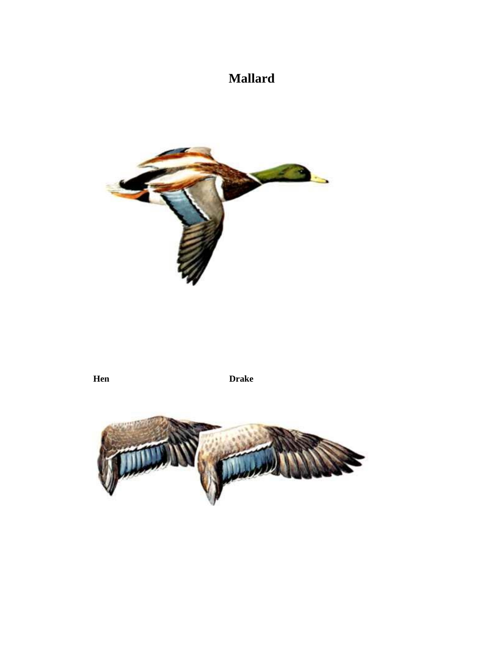## **Mallard**



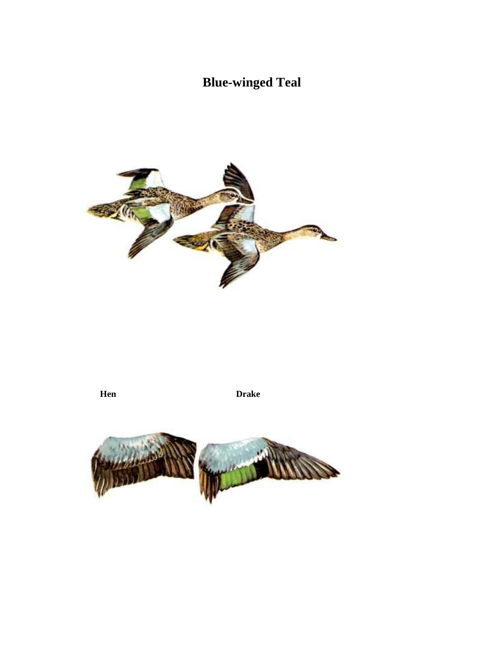# **Blue-winged Teal**



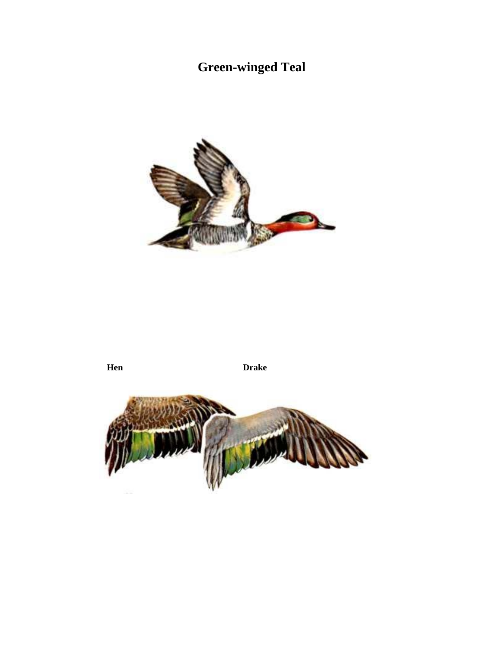# **Green-winged Teal**



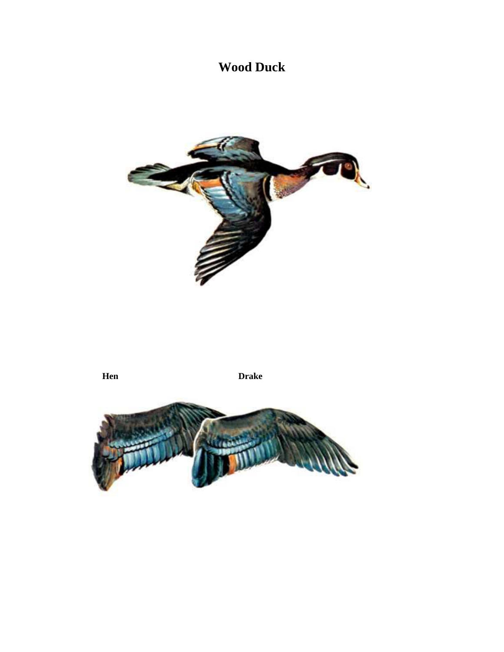## **Wood Duck**



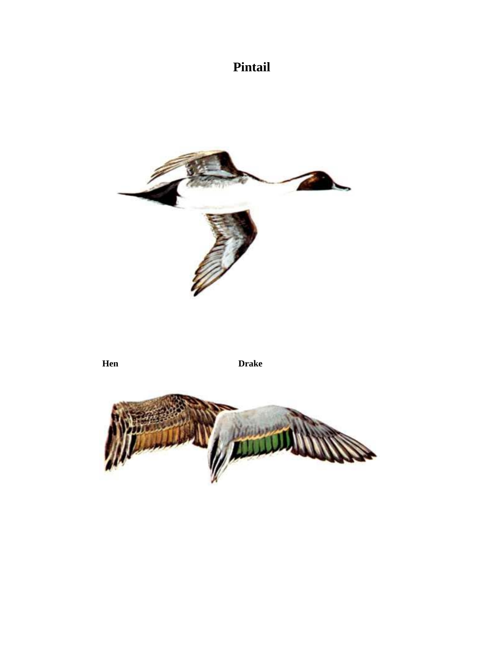# **Pintail**



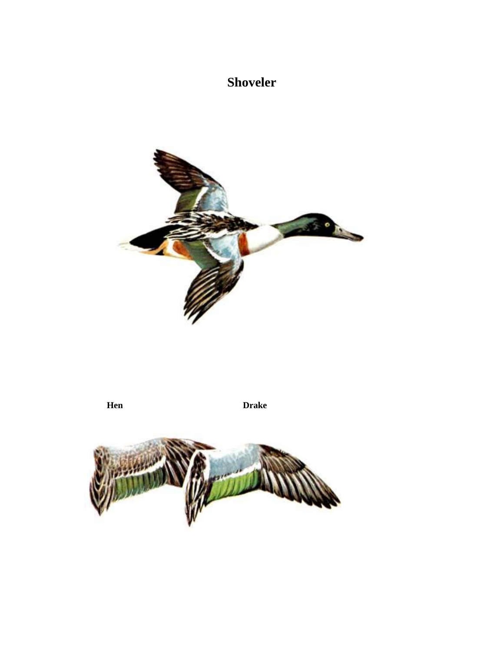# **Shoveler**